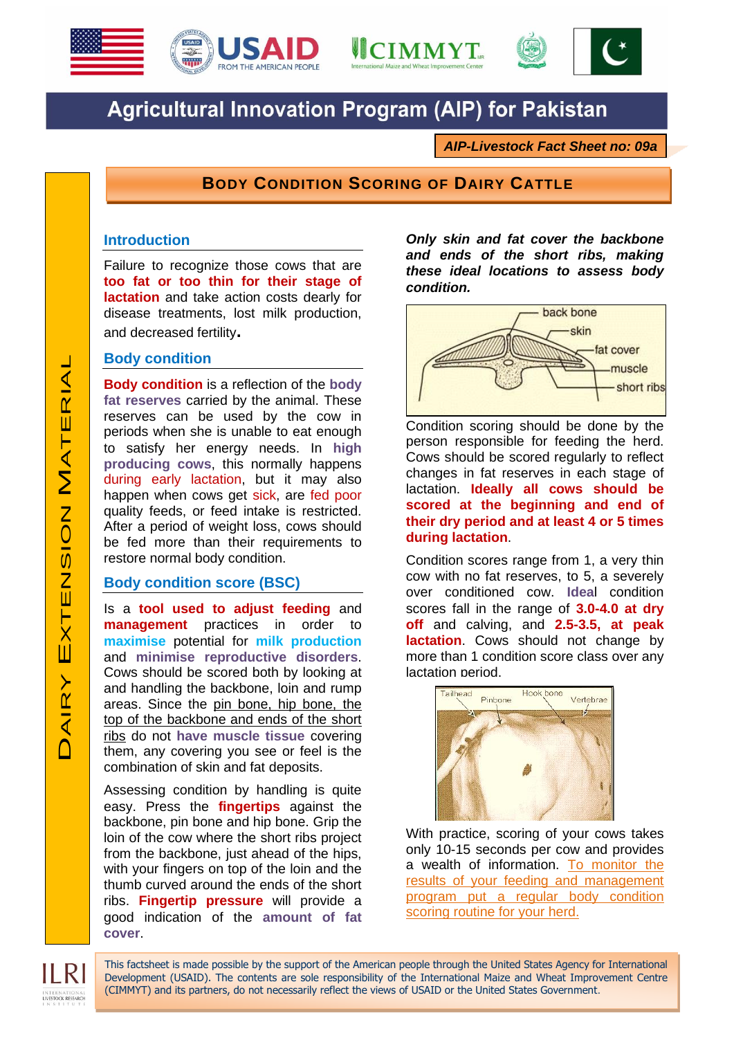





# **Agricultural Innovation Program (AIP) for Pakistan**

*AIP-Livestock Fact Sheet no: 09a*

## **BODY CONDITION SCORING OF DAIRY CATTLE**

This factsheet is made possible by the support of the American people through the United States Agency for International Development (USAID). The contents are sole responsibility of the International Maize and Wheat Improvement Centre

(CIMMYT) and its partners, do not necessarily reflect the views of USAID or the United States Government.

### **Introduction**

Failure to recognize those cows that are **too fat or too thin for their stage of lactation** and take action costs dearly for disease treatments, lost milk production, and decreased fertility**.**

#### **Body condition**

**Body condition** is a reflection of the **body fat reserves** carried by the animal. These reserves can be used by the cow in periods when she is unable to eat enough to satisfy her energy needs. In **high producing cows**, this normally happens during early lactation, but it may also happen when cows get sick, are fed poor quality feeds, or feed intake is restricted. After a period of weight loss, cows should be fed more than their requirements to restore normal body condition.

#### **Body condition score (BSC)**

Is a **tool used to adjust feeding** and **management** practices in order to **maximise** potential for **milk production** and **minimise reproductive disorders**. Cows should be scored both by looking at and handling the backbone, loin and rump areas. Since the pin bone, hip bone, the top of the backbone and ends of the short ribs do not **have muscle tissue** covering them, any covering you see or feel is the combination of skin and fat deposits.

Assessing condition by handling is quite easy. Press the **fingertips** against the backbone, pin bone and hip bone. Grip the loin of the cow where the short ribs project from the backbone, just ahead of the hips, with your fingers on top of the loin and the thumb curved around the ends of the short ribs. **Fingertip pressure** will provide a good indication of the **amount of fat cover**.

*Only skin and fat cover the backbone and ends of the short ribs, making these ideal locations to assess body condition.*



Condition scoring should be done by the person responsible for feeding the herd. Cows should be scored regularly to reflect changes in fat reserves in each stage of lactation. **Ideally all cows should be scored at the beginning and end of their dry period and at least 4 or 5 times during lactation**.

Condition scores range from 1, a very thin cow with no fat reserves, to 5, a severely over conditioned cow. **Idea**l condition scores fall in the range of **3.0-4.0 at dry off** and calving, and **2.5-3.5, at peak lactation**. Cows should not change by more than 1 condition score class over any lactation period.



With practice, scoring of your cows takes only 10-15 seconds per cow and provides a wealth of information. To monitor the results of your feeding and management program put a regular body condition scoring routine for your herd.

LIVESTOCK RESEARCH